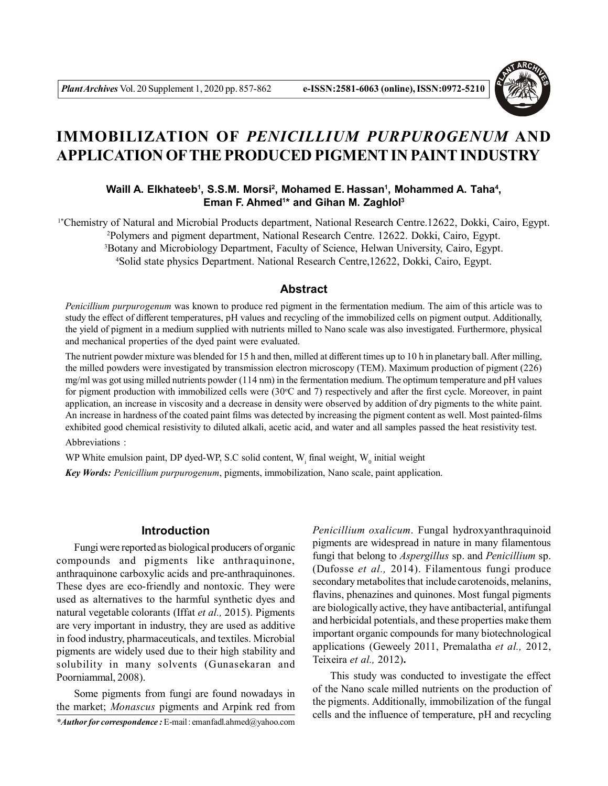

# **IMMOBILIZATION OF** *PENICILLIUM PURPUROGENUM* **AND APPLICATION OFTHE PRODUCED PIGMENT IN PAINT INDUSTRY**

# **Waill A. Elkhateeb<sup>1</sup> , S.S.M. Morsi<sup>2</sup> , Mohamed E. Hassan<sup>1</sup> , Mohammed A. Taha<sup>4</sup> , Eman F. Ahmed<sup>1</sup> \* and Gihan M. Zaghlol<sup>3</sup>**

<sup>1</sup>\*Chemistry of Natural and Microbial Products department, National Research Centre.12622, Dokki, Cairo, Egypt. Polymers and pigment department, National Research Centre. 12622. Dokki, Cairo, Egypt. Botany and Microbiology Department, Faculty of Science, Helwan University, Cairo, Egypt. Solid state physics Department. National Research Centre,12622, Dokki, Cairo, Egypt.

## **Abstract**

*Penicillium purpurogenum* was known to produce red pigment in the fermentation medium. The aim of this article was to study the effect of different temperatures, pH values and recycling of the immobilized cells on pigment output. Additionally, the yield of pigment in a medium supplied with nutrients milled to Nano scale was also investigated. Furthermore, physical and mechanical properties of the dyed paint were evaluated.

The nutrient powder mixture was blended for 15 h and then, milled at different times up to 10 h in planetary ball. After milling, the milled powders were investigated by transmission electron microscopy (TEM). Maximum production of pigment (226) mg/ml was got using milled nutrients powder (114 nm) in the fermentation medium. The optimum temperature and pH values for pigment production with immobilized cells were (30°C and 7) respectively and after the first cycle. Moreover, in paint application, an increase in viscosity and a decrease in density were observed by addition of dry pigments to the white paint. An increase in hardness of the coated paint films was detected by increasing the pigment content as well. Most painted-films exhibited good chemical resistivity to diluted alkali, acetic acid, and water and all samples passed the heat resistivity test.

Abbreviations :

WP White emulsion paint, DP dyed-WP, S.C solid content,  $W_i$  final weight,  $W_0$  initial weight

*Key Words: Penicillium purpurogenum*, pigments, immobilization, Nano scale, paint application.

# **Introduction**

Fungi were reported as biological producers of organic compounds and pigments like anthraquinone, anthraquinone carboxylic acids and pre-anthraquinones. These dyes are eco-friendly and nontoxic. They were used as alternatives to the harmful synthetic dyes and natural vegetable colorants (Iffat *et al.,* 2015). Pigments are very important in industry, they are used as additive in food industry, pharmaceuticals, and textiles. Microbial pigments are widely used due to their high stability and solubility in many solvents (Gunasekaran and Poorniammal, 2008).

Some pigments from fungi are found nowadays in the market; *Monascus* pigments and Arpink red from

*\*Author for correspondence :* E-mail : emanfadl.ahmed@yahoo.com

*Penicillium oxalicum*. Fungal hydroxyanthraquinoid pigments are widespread in nature in many filamentous fungi that belong to *Aspergillus* sp. and *Penicillium* sp. (Dufosse *et al.,* 2014). Filamentous fungi produce secondary metabolites that include carotenoids, melanins, flavins, phenazines and quinones. Most fungal pigments are biologically active, they have antibacterial, antifungal and herbicidal potentials, and these properties make them important organic compounds for many biotechnological applications (Geweely 2011, Premalatha *et al.,* 2012, Teixeira *et al.,* 2012)**.**

This study was conducted to investigate the effect of the Nano scale milled nutrients on the production of the pigments. Additionally, immobilization of the fungal cells and the influence of temperature, pH and recycling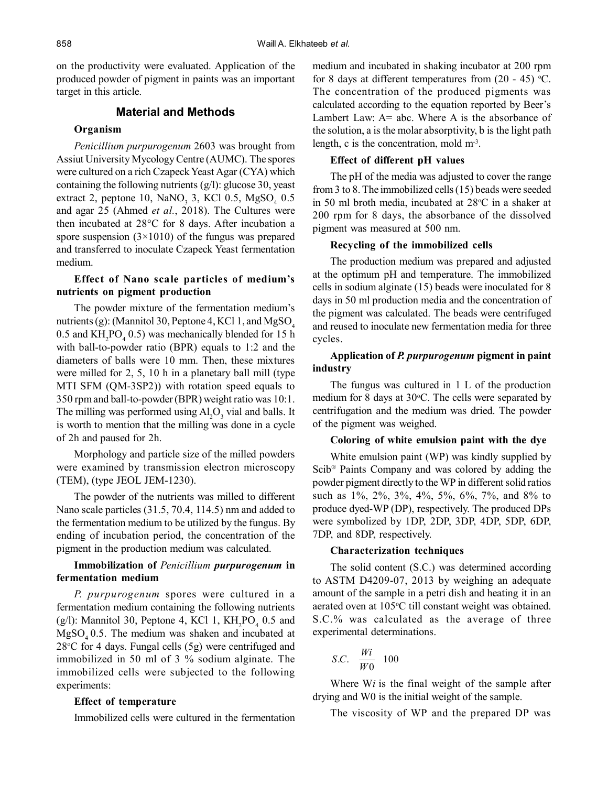on the productivity were evaluated. Application of the produced powder of pigment in paints was an important target in this article.

# **Material and Methods**

#### **Organism**

*Penicillium purpurogenum* 2603 was brought from Assiut University Mycology Centre (AUMC). The spores were cultured on a rich Czapeck Yeast Agar (CYA) which containing the following nutrients (g/l): glucose 30, yeast extract 2, peptone 10,  $\text{NaNO}_3$  3, KCl 0.5,  $\text{MgSO}_4$  0.5 and agar 25 (Ahmed *et al.*, 2018). The Cultures were then incubated at 28°C for 8 days. After incubation a spore suspension  $(3\times1010)$  of the fungus was prepared and transferred to inoculate Czapeck Yeast fermentation medium.

### **Effect of Nano scale particles of medium's nutrients on pigment production**

The powder mixture of the fermentation medium's nutrients (g): (Mannitol 30, Peptone 4, KCl 1, and MgSO<sub>4</sub> 0.5 and  $KH_2PO_4$  0.5) was mechanically blended for 15 h with ball-to-powder ratio (BPR) equals to 1:2 and the diameters of balls were 10 mm. Then, these mixtures were milled for 2, 5, 10 h in a planetary ball mill (type MTI SFM (QM-3SP2)) with rotation speed equals to 350 rpm and ball-to-powder (BPR) weight ratio was 10:1. The milling was performed using  $Al_2O_3$  vial and balls. It is worth to mention that the milling was done in a cycle of 2h and paused for 2h.

Morphology and particle size of the milled powders were examined by transmission electron microscopy (TEM), (type JEOL JEM-1230).

The powder of the nutrients was milled to different Nano scale particles (31.5, 70.4, 114.5) nm and added to the fermentation medium to be utilized by the fungus. By ending of incubation period, the concentration of the pigment in the production medium was calculated.

## **Immobilization of** *Penicillium purpurogenum* **in fermentation medium**

*P. purpurogenum* spores were cultured in a fermentation medium containing the following nutrients (g/l): Mannitol 30, Peptone 4, KCl 1,  $KH_2PO_4$  0.5 and  $MgSO<sub>4</sub>0.5$ . The medium was shaken and incubated at  $28^{\circ}$ C for 4 days. Fungal cells  $(5g)$  were centrifuged and immobilized in 50 ml of 3 % sodium alginate. The immobilized cells were subjected to the following experiments:

#### **Effect of temperature**

Immobilized cells were cultured in the fermentation

medium and incubated in shaking incubator at 200 rpm for 8 days at different temperatures from  $(20 - 45)$  °C. The concentration of the produced pigments was calculated according to the equation reported by Beer's Lambert Law: A= abc. Where A is the absorbance of the solution, a is the molar absorptivity, b is the light path length, c is the concentration, mold  $m<sup>3</sup>$ .

#### **Effect of different pH values**

The pH of the media was adjusted to cover the range from 3 to 8. The immobilized cells (15) beads were seeded in 50 ml broth media, incubated at  $28^{\circ}$ C in a shaker at 200 rpm for 8 days, the absorbance of the dissolved pigment was measured at 500 nm.

#### **Recycling of the immobilized cells**

The production medium was prepared and adjusted at the optimum pH and temperature. The immobilized cells in sodium alginate (15) beads were inoculated for 8 days in 50 ml production media and the concentration of the pigment was calculated. The beads were centrifuged and reused to inoculate new fermentation media for three cycles.

# **Application of** *P. purpurogenum* **pigment in paint industry**

The fungus was cultured in 1 L of the production medium for 8 days at  $30^{\circ}$ C. The cells were separated by centrifugation and the medium was dried. The powder of the pigment was weighed.

#### **Coloring of white emulsion paint with the dye**

White emulsion paint (WP) was kindly supplied by Scib® Paints Company and was colored by adding the powder pigment directly to the WP in different solid ratios such as 1%, 2%, 3%, 4%, 5%, 6%, 7%, and 8% to produce dyed-WP (DP), respectively. The produced DPs were symbolized by 1DP, 2DP, 3DP, 4DP, 5DP, 6DP, 7DP, and 8DP, respectively.

#### **Characterization techniques**

The solid content (S.C.) was determined according to ASTM D4209-07, 2013 by weighing an adequate amount of the sample in a petri dish and heating it in an aerated oven at 105°C till constant weight was obtained. S.C.% was calculated as the average of three experimental determinations.

$$
S.C. \quad \frac{Wi}{W0} \quad 100
$$

Where W*i* is the final weight of the sample after drying and W0 is the initial weight of the sample.

The viscosity of WP and the prepared DP was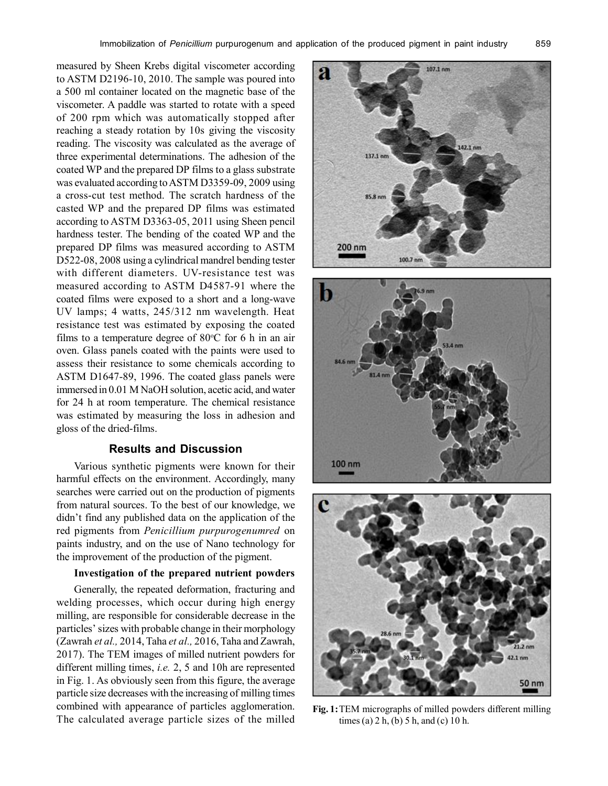measured by Sheen Krebs digital viscometer according to ASTM D2196-10, 2010. The sample was poured into a 500 ml container located on the magnetic base of the viscometer. A paddle was started to rotate with a speed of 200 rpm which was automatically stopped after reaching a steady rotation by 10s giving the viscosity reading. The viscosity was calculated as the average of three experimental determinations. The adhesion of the coated WP and the prepared DP films to a glass substrate was evaluated according to ASTM D3359-09, 2009 using a cross-cut test method. The scratch hardness of the casted WP and the prepared DP films was estimated according to ASTM D3363-05, 2011 using Sheen pencil hardness tester. The bending of the coated WP and the prepared DP films was measured according to ASTM D522-08, 2008 using a cylindrical mandrel bending tester with different diameters. UV-resistance test was measured according to ASTM D4587-91 where the coated films were exposed to a short and a long-wave UV lamps; 4 watts, 245/312 nm wavelength. Heat resistance test was estimated by exposing the coated films to a temperature degree of  $80^{\circ}$ C for 6 h in an air oven. Glass panels coated with the paints were used to assess their resistance to some chemicals according to ASTM D1647-89, 1996. The coated glass panels were immersed in 0.01 M NaOH solution, acetic acid, and water for 24 h at room temperature. The chemical resistance was estimated by measuring the loss in adhesion and gloss of the dried-films.

## **Results and Discussion**

Various synthetic pigments were known for their harmful effects on the environment. Accordingly, many searches were carried out on the production of pigments from natural sources. To the best of our knowledge, we didn't find any published data on the application of the red pigments from *Penicillium purpurogenumred* on paints industry, and on the use of Nano technology for the improvement of the production of the pigment.

## **Investigation of the prepared nutrient powders**

Generally, the repeated deformation, fracturing and welding processes, which occur during high energy milling, are responsible for considerable decrease in the particles' sizes with probable change in their morphology (Zawrah *et al.,* 2014, Taha *et al.,* 2016, Taha and Zawrah, 2017). The TEM images of milled nutrient powders for different milling times, *i.e.* 2, 5 and 10h are represented in Fig. 1. As obviously seen from this figure, the average particle size decreases with the increasing of milling times combined with appearance of particles agglomeration. The calculated average particle sizes of the milled







**Fig. 1:**TEM micrographs of milled powders different milling times (a) 2 h, (b) 5 h, and (c) 10 h.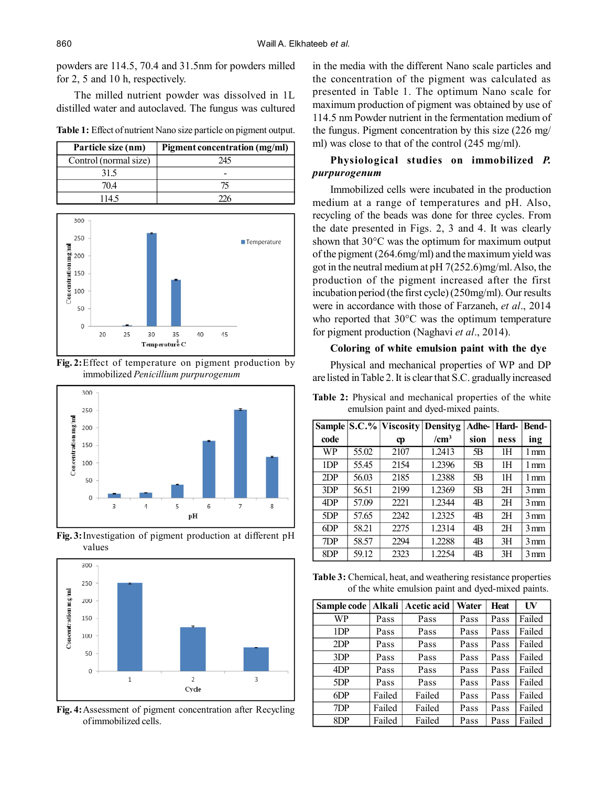powders are 114.5, 70.4 and 31.5nm for powders milled for 2, 5 and 10 h, respectively.

The milled nutrient powder was dissolved in 1L distilled water and autoclaved. The fungus was cultured

|  |  |  |  | Table 1: Effect of nutrient Nano size particle on pigment output. |  |
|--|--|--|--|-------------------------------------------------------------------|--|
|  |  |  |  |                                                                   |  |

| Particle size (nm)    | Pigment concentration (mg/ml) |
|-----------------------|-------------------------------|
| Control (normal size) | 245                           |
| 31.5                  |                               |
| 704                   |                               |
| 1145                  |                               |



**Fig. 2:**Effect of temperature on pigment production by immobilized *Penicillium purpurogenum*



**Fig. 3:**Investigation of pigment production at different pH values



**Fig. 4:**Assessment of pigment concentration after Recycling of immobilized cells.

in the media with the different Nano scale particles and the concentration of the pigment was calculated as presented in Table 1. The optimum Nano scale for maximum production of pigment was obtained by use of 114.5 nm Powder nutrient in the fermentation medium of the fungus. Pigment concentration by this size (226 mg/ ml) was close to that of the control (245 mg/ml).

# **Physiological studies on immobilized** *P. purpurogenum*

Immobilized cells were incubated in the production medium at a range of temperatures and pH. Also, recycling of the beads was done for three cycles. From the date presented in Figs. 2, 3 and 4. It was clearly shown that 30°C was the optimum for maximum output of the pigment (264.6mg/ml) and the maximum yield was got in the neutral medium at pH 7(252.6)mg/ml. Also, the production of the pigment increased after the first incubation period (the first cycle) (250mg/ml). Our results were in accordance with those of Farzaneh, *et al*., 2014 who reported that 30°C was the optimum temperature for pigment production (Naghavi *et al*., 2014).

#### **Coloring of white emulsion paint with the dye**

Physical and mechanical properties of WP and DP are listed in Table 2. It is clear that S.C. gradually increased

|  |  | Table 2: Physical and mechanical properties of the white |  |  |
|--|--|----------------------------------------------------------|--|--|
|  |  | emulsion paint and dyed-mixed paints.                    |  |  |

|                 |       | Sample S.C.% Viscosity | Densityg         | Adhe- | Hard- | <b>Bend-</b>      |
|-----------------|-------|------------------------|------------------|-------|-------|-------------------|
| code            |       | cp                     | /cm <sup>3</sup> | sion  | ness  | ing               |
| WP              | 55.02 | 2107                   | 1.2413           | 5B    | 1Н    | 1 mm              |
| 1 <sub>DP</sub> | 55.45 | 2154                   | 1.2396           | 5B    | 1H    | 1 mm              |
| 2DP             | 56.03 | 2185                   | 1.2388           | 5В    | 1Н    | 1 mm              |
| 3DP             | 56.51 | 2199                   | 1.2369           | 5В    | 2H    | 3 mm              |
| 4DP             | 57.09 | 2221                   | 1.2344           | 4B    | 2H    | 3 mm              |
| 5DP             | 57.65 | 2242                   | 1.2325           | 4B    | 2H    | $3 \,\mathrm{mm}$ |
| 6DP             | 58.21 | 2275                   | 1.2314           | 4B    | 2H    | 3 mm              |
| 7DP             | 58.57 | 2294                   | 1.2288           | 4B    | 3H    | 3 mm              |
| 8DP             | 59.12 | 2323                   | 1.2254           | 4B    | 3H    | $3 \,\mathrm{mm}$ |

**Table 3:** Chemical, heat, and weathering resistance properties of the white emulsion paint and dyed-mixed paints.

| Sample code | <b>Alkali</b> | <b>Acetic acid</b> | Water | Heat | UV     |
|-------------|---------------|--------------------|-------|------|--------|
| WP          | Pass          | Pass               | Pass  | Pass | Failed |
| 1DP         | Pass          | Pass               | Pass  | Pass | Failed |
| 2DP         | Pass          | Pass               | Pass  | Pass | Failed |
| 3DP         | Pass          | Pass               | Pass  | Pass | Failed |
| 4DP         | Pass          | Pass               | Pass  | Pass | Failed |
| 5DP         | Pass          | Pass               | Pass  | Pass | Failed |
| 6DP         | Failed        | Failed             | Pass  | Pass | Failed |
| 7DP         | Failed        | Failed             | Pass  | Pass | Failed |
| 8DP         | Failed        | Failed             | Pass  | Pass | Failed |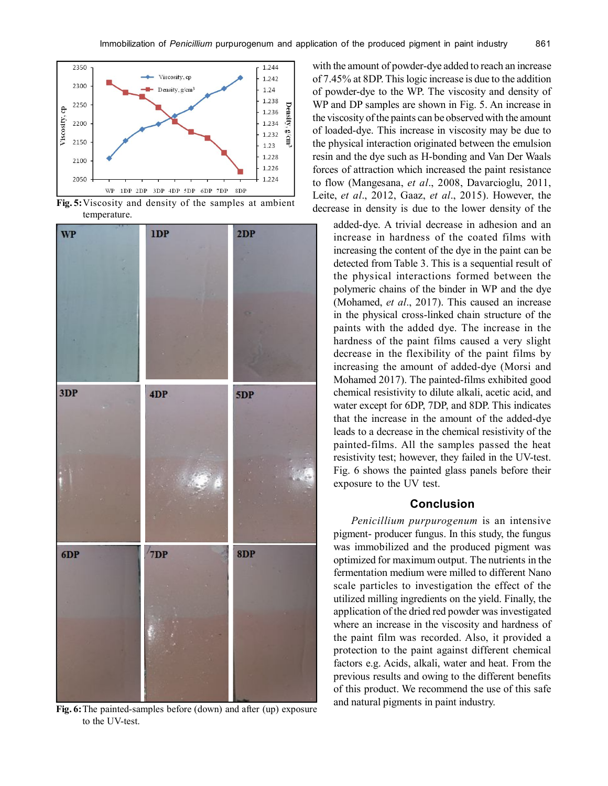

**Fig. 5:**Viscosity and density of the samples at ambient temperature.



**Fig. 6:**The painted-samples before (down) and after (up) exposure to the UV-test.

with the amount of powder-dye added to reach an increase of 7.45% at 8DP. This logic increase is due to the addition of powder-dye to the WP. The viscosity and density of WP and DP samples are shown in Fig. 5. An increase in the viscosity of the paints can be observed with the amount of loaded-dye. This increase in viscosity may be due to the physical interaction originated between the emulsion resin and the dye such as H-bonding and Van Der Waals forces of attraction which increased the paint resistance to flow (Mangesana, *et al*., 2008, Davarcioglu, 2011, Leite, *et al*., 2012, Gaaz, *et al*., 2015). However, the decrease in density is due to the lower density of the

added-dye. A trivial decrease in adhesion and an increase in hardness of the coated films with increasing the content of the dye in the paint can be detected from Table 3. This is a sequential result of the physical interactions formed between the polymeric chains of the binder in WP and the dye (Mohamed, *et al*., 2017). This caused an increase in the physical cross-linked chain structure of the paints with the added dye. The increase in the hardness of the paint films caused a very slight decrease in the flexibility of the paint films by increasing the amount of added-dye (Morsi and Mohamed 2017). The painted-films exhibited good chemical resistivity to dilute alkali, acetic acid, and water except for 6DP, 7DP, and 8DP. This indicates that the increase in the amount of the added-dye leads to a decrease in the chemical resistivity of the painted-films. All the samples passed the heat resistivity test; however, they failed in the UV-test. Fig. 6 shows the painted glass panels before their exposure to the UV test.

## **Conclusion**

*Penicillium purpurogenum* is an intensive pigment- producer fungus. In this study, the fungus was immobilized and the produced pigment was optimized for maximum output. The nutrients in the fermentation medium were milled to different Nano scale particles to investigation the effect of the utilized milling ingredients on the yield. Finally, the application of the dried red powder was investigated where an increase in the viscosity and hardness of the paint film was recorded. Also, it provided a protection to the paint against different chemical factors e.g. Acids, alkali, water and heat. From the previous results and owing to the different benefits of this product. We recommend the use of this safe and natural pigments in paint industry.